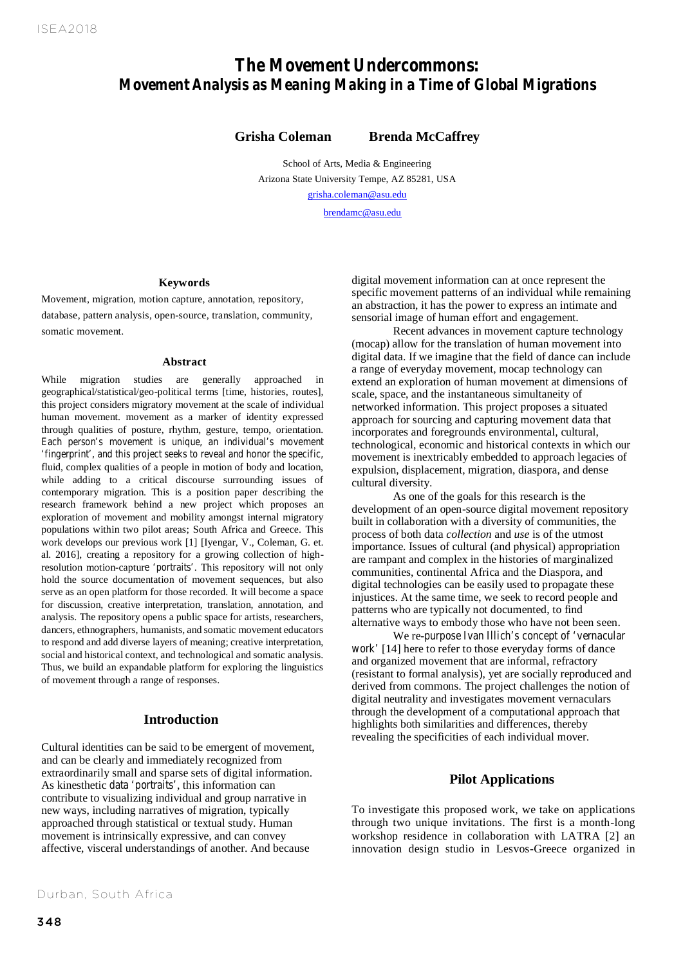# *The Movement Undercommons: Movement Analysis as Meaning Making in a Time of Global Migrations*

*Movement Unercommons: Movement Analysis as Meaning Making in a*  **Grisha Coleman Brenda McCaffrey**

*Time of Global Migrations.* Grisha Coleman and Brenda McCaffrey School of Arts, Media & Engineering Arizona State University Tempe, AZ 85281, USA grisha.coleman@asu.edu

brendamc@asu.edu

#### **Keywords**

Movement, migration, motion capture, annotation, repository, database, pattern analysis, open-source, translation, community, somatic movement.

#### **Abstract**

While migration studies are generally approached in geographical/statistical/geo-political terms [time, histories, routes], this project considers migratory movement at the scale of individual human movement. movement as a marker of identity expressed through qualities of posture, rhythm, gesture, tempo, orientation. Each person's movement is unique, an individual's movement 'fingerprint', and this project seeks to reveal and honor the specific, fluid, complex qualities of a people in motion of body and location, while adding to a critical discourse surrounding issues of contemporary migration. This is a position paper describing the research framework behind a new project which proposes an exploration of movement and mobility amongst internal migratory populations within two pilot areas; South Africa and Greece. This work develops our previous work [1] [Iyengar, V., Coleman, G. et. al. 2016], creating a repository for a growing collection of highresolution motion-capture 'portraits'. This repository will not only hold the source documentation of movement sequences, but also serve as an open platform for those recorded. It will become a space for discussion, creative interpretation, translation, annotation, and analysis. The repository opens a public space for artists, researchers, dancers, ethnographers, humanists, and somatic movement educators to respond and add diverse layers of meaning; creative interpretation, social and historical context, and technological and somatic analysis. Thus, we build an expandable platform for exploring the linguistics of movement through a range of responses.

#### **Introduction**

Cultural identities can be said to be emergent of movement, and can be clearly and immediately recognized from extraordinarily small and sparse sets of digital information. As kinesthetic data 'portraits', this information can contribute to visualizing individual and group narrative in new ways, including narratives of migration, typically approached through statistical or textual study. Human movement is intrinsically expressive, and can convey affective, visceral understandings of another. And because

Durban, South Africa

digital movement information can at once represent the specific movement patterns of an individual while remaining an abstraction, it has the power to express an intimate and sensorial image of human effort and engagement.

Recent advances in movement capture technology (mocap) allow for the translation of human movement into digital data. If we imagine that the field of dance can include a range of everyday movement, mocap technology can extend an exploration of human movement at dimensions of scale, space, and the instantaneous simultaneity of networked information. This project proposes a situated approach for sourcing and capturing movement data that incorporates and foregrounds environmental, cultural, technological, economic and historical contexts in which our movement is inextricably embedded to approach legacies of expulsion, displacement, migration, diaspora, and dense cultural diversity.

As one of the goals for this research is the development of an open-source digital movement repository built in collaboration with a diversity of communities, the process of both data *collection* and *use* is of the utmost importance. Issues of cultural (and physical) appropriation are rampant and complex in the histories of marginalized communities, continental Africa and the Diaspora, and digital technologies can be easily used to propagate these injustices. At the same time, we seek to record people and patterns who are typically not documented, to find alternative ways to embody those who have not been seen.

We re-purpose Ivan Illich's concept of 'vernacular work' [14] here to refer to those everyday forms of dance and organized movement that are informal, refractory (resistant to formal analysis), yet are socially reproduced and derived from commons. The project challenges the notion of digital neutrality and investigates movement vernaculars through the development of a computational approach that highlights both similarities and differences, thereby revealing the specificities of each individual mover.

### **Pilot Applications**

To investigate this proposed work, we take on applications through two unique invitations. The first is a month-long workshop residence in collaboration with LATRA [2] an innovation design studio in Lesvos-Greece organized in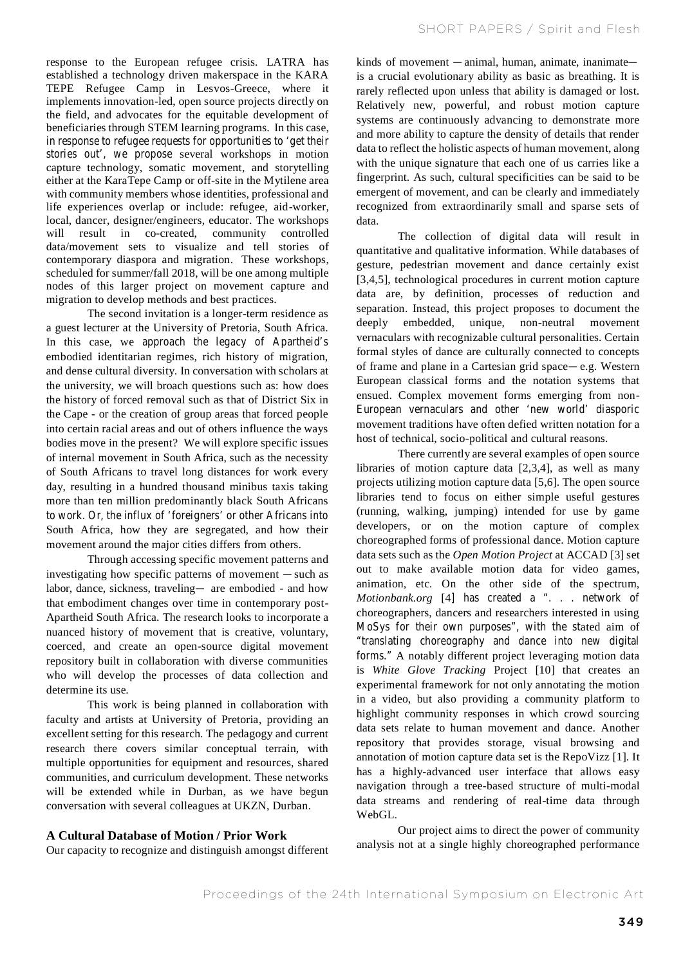response to the European refugee crisis. LATRA has established a technology driven makerspace in the KARA TEPE Refugee Camp in Lesvos-Greece, where it implements innovation-led, open source projects directly on the field, and advocates for the equitable development of beneficiaries through STEM learning programs. In this case, in response to refugee requests for opportunities to 'get their stories out', we propose several workshops in motion capture technology, somatic movement, and storytelling either at the KaraTepe Camp or off-site in the Mytilene area with community members whose identities, professional and life experiences overlap or include: refugee, aid-worker, local, dancer, designer/engineers, educator. The workshops will result in co-created, community controlled data/movement sets to visualize and tell stories of contemporary diaspora and migration. These workshops, scheduled for summer/fall 2018, will be one among multiple nodes of this larger project on movement capture and migration to develop methods and best practices.

The second invitation is a longer-term residence as a guest lecturer at the University of Pretoria, South Africa. In this case, we approach the legacy of Apartheid's embodied identitarian regimes, rich history of migration, and dense cultural diversity. In conversation with scholars at the university, we will broach questions such as: how does the history of forced removal such as that of District Six in the Cape - or the creation of group areas that forced people into certain racial areas and out of others influence the ways bodies move in the present? We will explore specific issues of internal movement in South Africa, such as the necessity of South Africans to travel long distances for work every day, resulting in a hundred thousand minibus taxis taking more than ten million predominantly black South Africans to work. Or, the influx of 'foreigners' or other Africans into South Africa, how they are segregated, and how their movement around the major cities differs from others.

Through accessing specific movement patterns and investigating how specific patterns of movement —such as labor, dance, sickness, traveling— are embodied - and how that embodiment changes over time in contemporary post-Apartheid South Africa. The research looks to incorporate a nuanced history of movement that is creative, voluntary, coerced, and create an open-source digital movement repository built in collaboration with diverse communities who will develop the processes of data collection and determine its use.

This work is being planned in collaboration with faculty and artists at University of Pretoria, providing an excellent setting for this research. The pedagogy and current research there covers similar conceptual terrain, with multiple opportunities for equipment and resources, shared communities, and curriculum development. These networks will be extended while in Durban, as we have begun conversation with several colleagues at UKZN, Durban.

## **A Cultural Database of Motion / Prior Work**

Our capacity to recognize and distinguish amongst different

kinds of movement —animal, human, animate, inanimate is a crucial evolutionary ability as basic as breathing. It is rarely reflected upon unless that ability is damaged or lost. Relatively new, powerful, and robust motion capture systems are continuously advancing to demonstrate more and more ability to capture the density of details that render data to reflect the holistic aspects of human movement, along with the unique signature that each one of us carries like a fingerprint. As such, cultural specificities can be said to be emergent of movement, and can be clearly and immediately recognized from extraordinarily small and sparse sets of data.

The collection of digital data will result in quantitative and qualitative information. While databases of gesture, pedestrian movement and dance certainly exist [3,4,5], technological procedures in current motion capture data are, by definition, processes of reduction and separation. Instead, this project proposes to document the deeply embedded, unique, non-neutral movement vernaculars with recognizable cultural personalities. Certain formal styles of dance are culturally connected to concepts of frame and plane in a Cartesian grid space—e.g. Western European classical forms and the notation systems that ensued. Complex movement forms emerging from non-European vernaculars and other 'new world' diasporic movement traditions have often defied written notation for a host of technical, socio-political and cultural reasons.

There currently are several examples of open source libraries of motion capture data [2,3,4], as well as many projects utilizing motion capture data [5,6]. The open source libraries tend to focus on either simple useful gestures (running, walking, jumping) intended for use by game developers, or on the motion capture of complex choreographed forms of professional dance. Motion capture data sets such as the *Open Motion Project* at ACCAD [3] set out to make available motion data for video games, animation, etc. On the other side of the spectrum, *Motionbank.org* [4] has created a ". . . network of choreographers, dancers and researchers interested in using MoSys for their own purposes", with the stated aim of "translating choreography and dance into new digital forms." A notably different project leveraging motion data is *White Glove Tracking* Project [10] that creates an experimental framework for not only annotating the motion in a video, but also providing a community platform to highlight community responses in which crowd sourcing data sets relate to human movement and dance. Another repository that provides storage, visual browsing and annotation of motion capture data set is the RepoVizz [1]. It has a highly-advanced user interface that allows easy navigation through a tree-based structure of multi-modal data streams and rendering of real-time data through WebGL.

Our project aims to direct the power of community analysis not at a single highly choreographed performance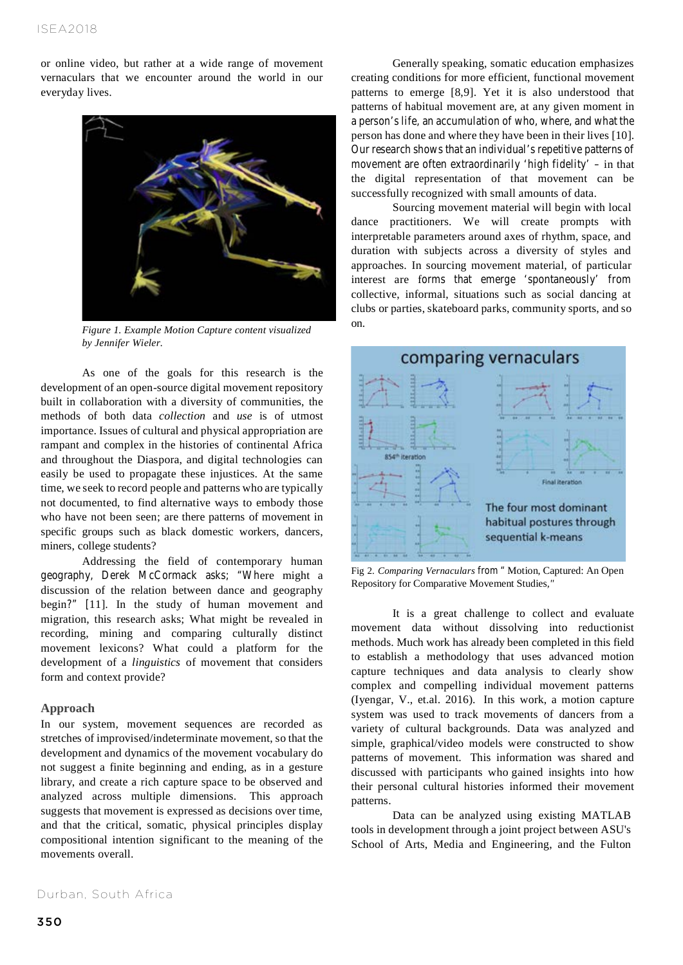or online video, but rather at a wide range of movement vernaculars that we encounter around the world in our everyday lives.



*Figure 1. Example Motion Capture content visualized by Jennifer Wieler.*

As one of the goals for this research is the development of an open-source digital movement repository built in collaboration with a diversity of communities, the methods of both data *collection* and *use* is of utmost importance. Issues of cultural and physical appropriation are rampant and complex in the histories of continental Africa and throughout the Diaspora, and digital technologies can easily be used to propagate these injustices. At the same time, we seek to record people and patterns who are typically not documented, to find alternative ways to embody those who have not been seen; are there patterns of movement in specific groups such as black domestic workers, dancers, miners, college students?

Addressing the field of contemporary human geography, Derek McCormack asks; "Where might a discussion of the relation between dance and geography begin?" [11]. In the study of human movement and migration, this research asks; What might be revealed in recording, mining and comparing culturally distinct movement lexicons? What could a platform for the development of a *linguistics* of movement that considers form and context provide?

#### **Approach**

In our system, movement sequences are recorded as stretches of improvised/indeterminate movement, so that the development and dynamics of the movement vocabulary do not suggest a finite beginning and ending, as in a gesture library, and create a rich capture space to be observed and analyzed across multiple dimensions. This approach suggests that movement is expressed as decisions over time, and that the critical, somatic, physical principles display compositional intention significant to the meaning of the movements overall.

Generally speaking, somatic education emphasizes creating conditions for more efficient, functional movement patterns to emerge [8,9]. Yet it is also understood that patterns of habitual movement are, at any given moment in a person's life, an accumulation of who, where, and what the person has done and where they have been in their lives [10]. Our research shows that an individual's repetitive patterns of movement are often extraordinarily 'high fidelity' – in that the digital representation of that movement can be successfully recognized with small amounts of data.

Sourcing movement material will begin with local dance practitioners. We will create prompts with interpretable parameters around axes of rhythm, space, and duration with subjects across a diversity of styles and approaches. In sourcing movement material, of particular interest are forms that emerge 'spontaneously' from collective, informal, situations such as social dancing at clubs or parties, skateboard parks, community sports, and so on.



Fig 2. *Comparing Vernaculars* from " Motion, Captured: An Open Repository for Comparative Movement Studies*,"*

It is a great challenge to collect and evaluate movement data without dissolving into reductionist methods. Much work has already been completed in this field to establish a methodology that uses advanced motion capture techniques and data analysis to clearly show complex and compelling individual movement patterns (Iyengar, V., et.al. 2016). In this work, a motion capture system was used to track movements of dancers from a variety of cultural backgrounds. Data was analyzed and simple, graphical/video models were constructed to show patterns of movement. This information was shared and discussed with participants who gained insights into how their personal cultural histories informed their movement patterns.

Data can be analyzed using existing MATLAB tools in development through a joint project between ASU's School of Arts, Media and Engineering, and the Fulton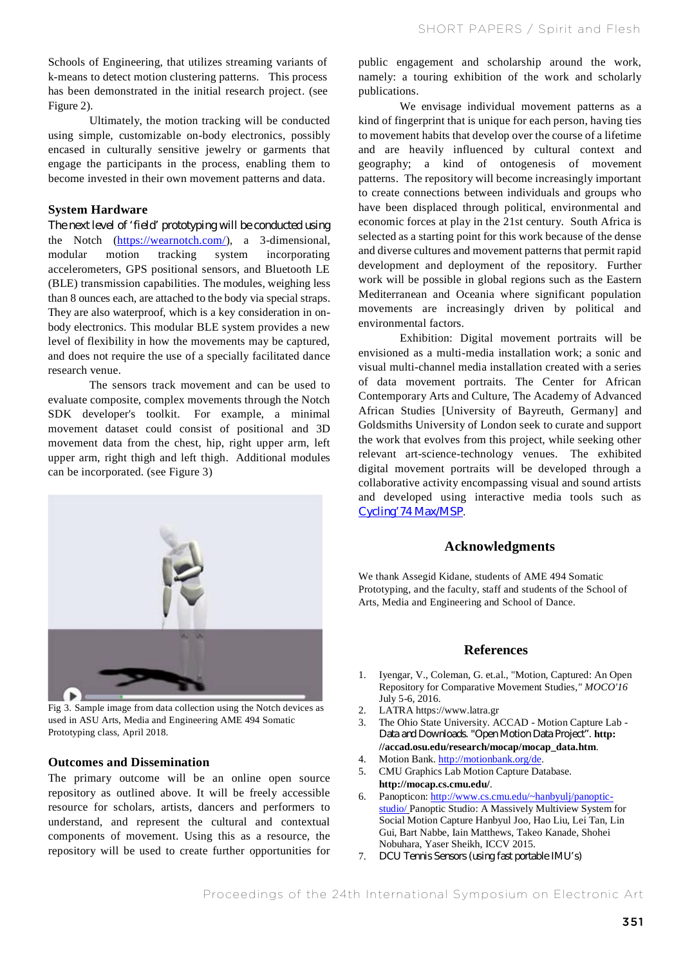Schools of Engineering, that utilizes streaming variants of k-means to detect motion clustering patterns. This process has been demonstrated in the initial research project. (see Figure 2).

 Ultimately, the motion tracking will be conducted using simple, customizable on-body electronics, possibly encased in culturally sensitive jewelry or garments that engage the participants in the process, enabling them to become invested in their own movement patterns and data.

#### **System Hardware**

The next level of 'field' prototyping will be conducted using the Notch (https://wearnotch.com/), a 3-dimensional, modular motion tracking system incorporating accelerometers, GPS positional sensors, and Bluetooth LE (BLE) transmission capabilities. The modules, weighing less than 8 ounces each, are attached to the body via special straps. They are also waterproof, which is a key consideration in onbody electronics. This modular BLE system provides a new level of flexibility in how the movements may be captured, and does not require the use of a specially facilitated dance research venue.

 The sensors track movement and can be used to evaluate composite, complex movements through the Notch SDK developer's toolkit. For example, a minimal movement dataset could consist of positional and 3D movement data from the chest, hip, right upper arm, left upper arm, right thigh and left thigh. Additional modules can be incorporated. (see Figure 3)



Fig 3. Sample image from data collection using the Notch devices as used in ASU Arts, Media and Engineering AME 494 Somatic Prototyping class, April 2018.

#### **Outcomes and Dissemination**

The primary outcome will be an online open source repository as outlined above. It will be freely accessible resource for scholars, artists, dancers and performers to understand, and represent the cultural and contextual components of movement. Using this as a resource, the repository will be used to create further opportunities for public engagement and scholarship around the work, namely: a touring exhibition of the work and scholarly publications.

We envisage individual movement patterns as a kind of fingerprint that is unique for each person, having ties to movement habits that develop over the course of a lifetime and are heavily influenced by cultural context and geography; a kind of ontogenesis of movement patterns. The repository will become increasingly important to create connections between individuals and groups who have been displaced through political, environmental and economic forces at play in the 21st century. South Africa is selected as a starting point for this work because of the dense and diverse cultures and movement patterns that permit rapid development and deployment of the repository. Further work will be possible in global regions such as the Eastern Mediterranean and Oceania where significant population movements are increasingly driven by political and environmental factors.

Exhibition: Digital movement portraits will be envisioned as a multi-media installation work; a sonic and visual multi-channel media installation created with a series of data movement portraits. The Center for African Contemporary Arts and Culture, The Academy of Advanced African Studies [University of Bayreuth, Germany] and Goldsmiths University of London seek to curate and support the work that evolves from this project, while seeking other relevant art-science-technology venues. The exhibited digital movement portraits will be developed through a collaborative activity encompassing visual and sound artists and developed using interactive media tools such as Cycling'74 Max/MSP.

#### **Acknowledgments**

We thank Assegid Kidane, students of AME 494 Somatic Prototyping, and the faculty, staff and students of the School of Arts, Media and Engineering and School of Dance.

#### **References**

- 1. Iyengar, V., Coleman, G. et.al., "Motion, Captured: An Open Repository for Comparative Movement Studies*," MOCO'16* July 5-6, 2016.
- 2. LATRA https://www.latra.gr
- 3. The Ohio State University. ACCAD Motion Capture Lab Data and Downloads. "Open Motion Data Project". **http: //accad.osu.edu/research/mocap/mocap\_data.htm**.
- 4. Motion Bank. http://motionbank.org/de.
- 5. CMU Graphics Lab Motion Capture Database. **http://mocap.cs.cmu.edu/**.
- 6. Panopticon: http://www.cs.cmu.edu/~hanbyulj/panopticstudio/ Panoptic Studio: A Massively Multiview System for Social Motion Capture Hanbyul Joo, Hao Liu, Lei Tan, Lin Gui, Bart Nabbe, Iain Matthews, Takeo Kanade, Shohei Nobuhara, Yaser Sheikh, ICCV 2015.
- 7. DCU Tennis Sensors (using fast portable IMU's)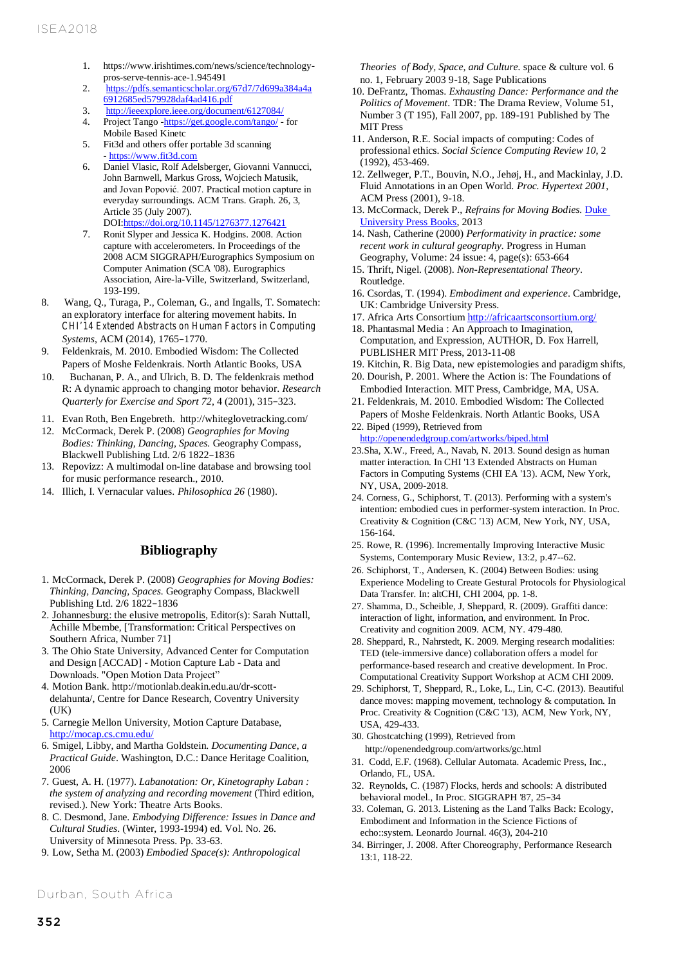- 1. https://www.irishtimes.com/news/science/technologypros-serve-tennis-ace-1.945491
- 2. https://pdfs.semanticscholar.org/67d7/7d699a384a4a 6912685ed579928daf4ad416.pdf
- 3. http://ieeexplore.ieee.org/document/6127084/<br>4. Project Tango -https://get.google.com/tango/ -
- 4. Project Tango -https://get.google.com/tango/ for Mobile Based Kinetc
- 5. Fit3d and others offer portable 3d scanning - https://www.fit3d.com
- 6. Daniel Vlasic, Rolf Adelsberger, Giovanni Vannucci, John Barnwell, Markus Gross, Wojciech Matusik, and Jovan Popović. 2007. Practical motion capture in everyday surroundings. ACM Trans. Graph. 26, 3, Article 35 (July 2007). DOI:https://doi.org/10.1145/1276377.1276421
- 7. Ronit Slyper and Jessica K. Hodgins. 2008. Action capture with accelerometers. In Proceedings of the 2008 ACM SIGGRAPH/Eurographics Symposium on Computer Animation (SCA '08). Eurographics Association, Aire-la-Ville, Switzerland, Switzerland, 193-199.
- 8. Wang, Q., Turaga, P., Coleman, G., and Ingalls, T. Somatech: an exploratory interface for altering movement habits. In *CHI'14 Extended Abstracts on Human Factors in Computing Systems*, ACM (2014), 1765–1770.
- 9. Feldenkrais, M. 2010. Embodied Wisdom: The Collected Papers of Moshe Feldenkrais. North Atlantic Books, USA
- 10. Buchanan, P. A., and Ulrich, B. D. The feldenkrais method R: A dynamic approach to changing motor behavior. *Research Quarterly for Exercise and Sport 72*, 4 (2001), 315–323.
- 11. Evan Roth, Ben Engebreth. http://whiteglovetracking.com/
- 12. McCormack, Derek P. (2008) *Geographies for Moving Bodies: Thinking, Dancing, Spaces.* Geography Compass, Blackwell Publishing Ltd. 2/6 1822–1836
- 13. Repovizz: A multimodal on-line database and browsing tool for music performance research., 2010.
- 14. Illich, I. Vernacular values. *Philosophica 26* (1980).

## **Bibliography**

- 1. McCormack, Derek P. (2008) *Geographies for Moving Bodies: Thinking, Dancing, Spaces.* Geography Compass, Blackwell Publishing Ltd. 2/6 1822–1836
- 2. Johannesburg: the elusive metropolis, Editor(s): Sarah Nuttall, Achille Mbembe, [Transformation: Critical Perspectives on Southern Africa, Number 71]
- 3. The Ohio State University, Advanced Center for Computation and Design [ACCAD] - Motion Capture Lab - Data and Downloads. "Open Motion Data Project"
- 4. Motion Bank. http://motionlab.deakin.edu.au/dr-scottdelahunta/, Centre for Dance Research, Coventry University (UK)
- 5. Carnegie Mellon University, Motion Capture Database, http://mocap.cs.cmu.edu/
- 6. Smigel, Libby, and Martha Goldstein. *Documenting Dance, a Practical Guide*. Washington, D.C.: Dance Heritage Coalition, 2006
- 7. Guest, A. H. (1977). *Labanotation: Or, Kinetography Laban : the system of analyzing and recording movement* (Third edition, revised.). New York: Theatre Arts Books.
- 8. C. Desmond, Jane. *Embodying Difference: Issues in Dance and Cultural Studies*. (Winter, 1993-1994) ed. Vol. No. 26. University of Minnesota Press. Pp. 33-63.
- 9. Low, Setha M. (2003) *Embodied Space(s): Anthropological*

*Theories of Body, Space, and Culture.* space & culture vol. 6 no. 1, February 2003 9-18, Sage Publications

- 10. DeFrantz, Thomas. *Exhausting Dance: Performance and the Politics of Movement*. TDR: The Drama Review, Volume 51, Number 3 (T 195), Fall 2007, pp. 189-191 Published by The MIT Press
- 11. Anderson, R.E. Social impacts of computing: Codes of professional ethics. *Social Science Computing Review 10*, 2 (1992), 453-469.
- 12. Zellweger, P.T., Bouvin, N.O., Jehøj, H., and Mackinlay, J.D. Fluid Annotations in an Open World. *Proc. Hypertext 2001*, ACM Press (2001), 9-18.
- 13. McCormack, Derek P., *Refrains for Moving Bodies.* Duke University Press Books, 2013
- 14. Nash, Catherine (2000) *Performativity in practice: some recent work in cultural geography.* Progress in Human Geography, Volume: 24 issue: 4, page(s): 653-664
- 15. Thrift, Nigel. (2008). *Non-Representational Theory*. Routledge.
- 16. Csordas, T. (1994). *Embodiment and experience*. Cambridge, UK: Cambridge University Press.
- 17. Africa Arts Consortium http://africaartsconsortium.org/
- 18. Phantasmal Media : An Approach to Imagination, Computation, and Expression, AUTHOR, D. Fox Harrell, PUBLISHER MIT Press, 2013-11-08
- 19. Kitchin, R. Big Data, new epistemologies and paradigm shifts,
- 20. Dourish, P. 2001. Where the Action is: The Foundations of Embodied Interaction. MIT Press, Cambridge, MA, USA.
- 21. Feldenkrais, M. 2010. Embodied Wisdom: The Collected Papers of Moshe Feldenkrais. North Atlantic Books, USA 22. Biped (1999), Retrieved from
- http://openendedgroup.com/artworks/biped.html
- 23.Sha, X.W., Freed, A., Navab, N. 2013. Sound design as human matter interaction. In CHI '13 Extended Abstracts on Human Factors in Computing Systems (CHI EA '13). ACM, New York, NY, USA, 2009-2018.
- 24. Corness, G., Schiphorst, T. (2013). Performing with a system's intention: embodied cues in performer-system interaction. In Proc. Creativity & Cognition (C&C '13) ACM, New York, NY, USA, 156-164.
- 25. Rowe, R. (1996). Incrementally Improving Interactive Music Systems, Contemporary Music Review, 13:2, p.47--62.
- 26. Schiphorst, T., Andersen, K. (2004) Between Bodies: using Experience Modeling to Create Gestural Protocols for Physiological Data Transfer. In: altCHI, CHI 2004, pp. 1-8.
- 27. Shamma, D., Scheible, J, Sheppard, R. (2009). Graffiti dance: interaction of light, information, and environment. In Proc. Creativity and cognition 2009. ACM, NY. 479-480.
- 28. Sheppard, R., Nahrstedt, K. 2009. Merging research modalities: TED (tele-immersive dance) collaboration offers a model for performance-based research and creative development. In Proc. Computational Creativity Support Workshop at ACM CHI 2009.
- 29. Schiphorst, T, Sheppard, R., Loke, L., Lin, C-C. (2013). Beautiful dance moves: mapping movement, technology & computation. In Proc. Creativity & Cognition (C&C '13), ACM, New York, NY, USA, 429-433.
- 30. Ghostcatching (1999), Retrieved from http://openendedgroup.com/artworks/gc.html
- 31. Codd, E.F. (1968). Cellular Automata. Academic Press, Inc., Orlando, FL, USA.
- 32. Reynolds, C. (1987) Flocks, herds and schools: A distributed behavioral model., In Proc. SIGGRAPH '87, 25–34
- 33. Coleman, G. 2013. Listening as the Land Talks Back: Ecology, Embodiment and Information in the Science Fictions of echo::system. Leonardo Journal. 46(3), 204-210
- 34. Birringer, J. 2008. After Choreography, Performance Research 13:1, 118-22.